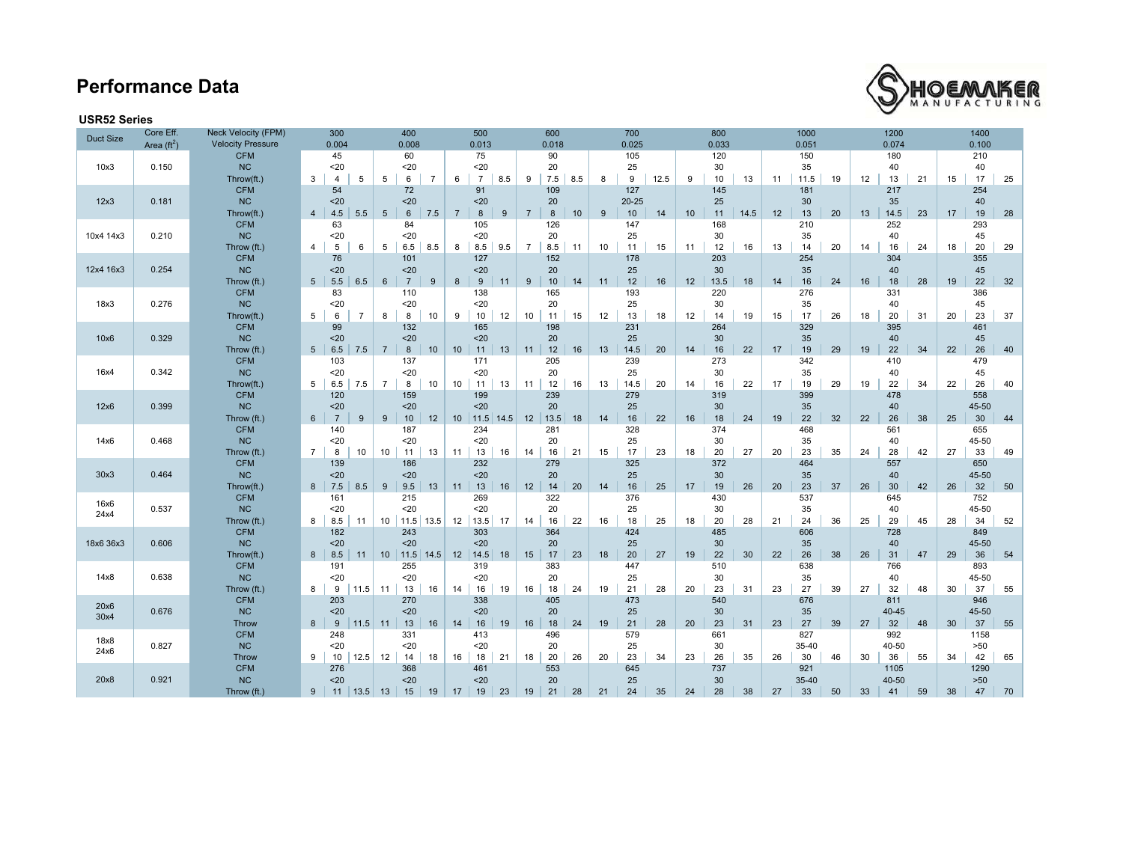# **Performance Data**



### **USR52 Series**

| <b>Duct Size</b> | Core Eff.<br>Area $(\text{ft}^2)$ | <b>Neck Velocity (FPM)</b><br><b>Velocity Pressure</b> | 300<br>0.004                             | 400<br>0.008                                    | 500<br>0.013                      | 600<br>0.018                     | 700<br>0.025          | 800<br>0.033            | 1000<br>0.051          | 1200<br>0.074           | 1400<br>0.100                        |  |  |  |  |
|------------------|-----------------------------------|--------------------------------------------------------|------------------------------------------|-------------------------------------------------|-----------------------------------|----------------------------------|-----------------------|-------------------------|------------------------|-------------------------|--------------------------------------|--|--|--|--|
|                  |                                   | <b>CFM</b>                                             | 45                                       | 60                                              | 75                                | 90                               | 105                   | 120                     | 150                    | 180                     | 210                                  |  |  |  |  |
| 10x3             | 0.150                             | <b>NC</b><br>Throw(ft.)                                | 20<br>3<br>5<br>4                        | $20$<br>$\overline{7}$<br>5<br>6                | 20<br>6<br>$\overline{7}$<br>8.5  | 20<br>7.5<br>9<br>8.5            | 25<br>9<br>8<br>12.5  | 30<br>10<br>13<br>9     | 35<br>11<br>11.5<br>19 | 40<br>12<br>13<br>21    | 40<br>17<br>25<br>15                 |  |  |  |  |
|                  |                                   | <b>CFM</b>                                             | 54                                       | 72                                              | 91                                | 109                              | 127                   | 145                     | 181                    | 217                     | 254                                  |  |  |  |  |
| 12x3             | 0.181                             | NC                                                     | $20$                                     | $20$                                            | 20                                | 20                               | $20 - 25$             | 25                      | 30                     | 35                      | 40                                   |  |  |  |  |
|                  |                                   | Throw(ft.)<br><b>CFM</b>                               | 4.5<br>5.5<br>4<br>63                    | $6\phantom{1}6$<br>$5\phantom{.0}$<br>7.5<br>84 | $\overline{7}$<br>8<br>9<br>105   | $\overline{7}$<br>8<br>10<br>126 | 10<br>9<br>14<br>147  | 10<br>11<br>14.5<br>168 | 12<br>13<br>20<br>210  | 13<br>14.5<br>23<br>252 | 17<br>19<br>28<br>293                |  |  |  |  |
| 10x4 14x3        | 0.210                             | NC                                                     | 20                                       | 20                                              | 20                                | 20                               | 25                    | 30                      | 35                     | 40                      | 45                                   |  |  |  |  |
|                  |                                   | Throw (ft.)                                            | $\overline{4}$<br>5<br>6                 | 5<br>6.5<br>8.5                                 | 8<br>8.5<br>9.5                   | $\overline{7}$<br>8.5<br>11      | 11<br>15<br>10        | 12<br>11<br>16          | 13<br>20<br>14         | 14<br>16<br>24          | 20<br>29<br>18                       |  |  |  |  |
|                  |                                   | <b>CFM</b><br>NC                                       | 76                                       | 101                                             | 127                               | 152                              | 178                   | 203                     | 254                    | 304                     | 355                                  |  |  |  |  |
| 12x4 16x3        | 0.254                             | Throw (ft.)                                            | 20<br>5 <sup>1</sup><br>5.5<br>6.5       | $20$<br>$\overline{7}$<br>$6\phantom{1}6$<br>9  | 20<br>$\boldsymbol{9}$<br>8<br>11 | 20<br>10<br>9<br>14              | 25<br>12<br>16<br>11  | 30<br>13.5<br>12<br>18  | 35<br>14<br>16<br>24   | 40<br>16<br>18<br>28    | 45<br>22<br>32<br>19                 |  |  |  |  |
|                  |                                   | <b>CFM</b>                                             | 83                                       | 110                                             | 138                               | 165                              | 193                   | 220                     | 276                    | 331                     | 386                                  |  |  |  |  |
| 18x3             | 0.276                             | NC                                                     | 20                                       | $20$                                            | 20                                | 20                               | 25                    | 30                      | 35                     | 40                      | 45                                   |  |  |  |  |
|                  |                                   | Throw(ft.)<br><b>CFM</b>                               | $5^{\circ}$<br>6<br>$\overline{7}$<br>99 | 8<br>8<br>10<br>132                             | 9<br>10<br>12<br>165              | 10<br>11<br>15<br>198            | 13<br>12<br>18<br>231 | 12<br>14<br>19<br>264   | 15<br>17<br>26<br>329  | 18<br>20<br>31<br>395   | 20<br>23<br>37<br>461                |  |  |  |  |
| 10x6             | 0.329                             | NC                                                     | 20                                       | $20$                                            | 20                                | 20                               | 25                    | 30                      | 35                     | 40                      | 45                                   |  |  |  |  |
|                  |                                   | Throw (ft.)                                            | 5 <sup>5</sup><br>6.5<br>7.5             | $\overline{7}$<br>8<br>10                       | 10<br>11<br>13                    | 12<br>11<br>16                   | 13<br>14.5<br>20      | 22<br>14<br>16          | 17<br>19<br>29         | 19<br>22<br>34          | 22<br>26<br>40                       |  |  |  |  |
| 16x4             | 0.342                             | <b>CFM</b><br>NC                                       | 103<br>20                                | 137<br>20                                       | 171<br>20                         | 205<br>20                        | 239<br>25             | 273<br>30               | 342<br>35              | 410<br>40               | 479<br>45                            |  |  |  |  |
|                  |                                   | Throw(ft.)                                             | 5 <sup>5</sup><br>7.5<br>6.5             | $\overline{7}$<br>8<br>10                       | 10<br>11<br>13                    | 12<br>11<br>16                   | 20<br>13<br>14.5      | 22<br>14<br>16          | 19<br>29<br>17         | 19<br>22<br>34          | 22<br>26<br>40                       |  |  |  |  |
| 12x6             |                                   | <b>CFM</b>                                             | 120                                      | 159                                             | 199                               | 239                              | 279                   | 319                     | 399                    | 478                     | 558                                  |  |  |  |  |
|                  | 0.399                             | NC                                                     | $20$                                     | $20$                                            | 20                                | 20                               | 25                    | 30                      | 35                     | 40                      | 45-50                                |  |  |  |  |
|                  |                                   | Throw (ft.)<br><b>CFM</b>                              | $\overline{7}$<br>9<br>$6 \mid$<br>140   | $9\,$<br>10<br>12<br>187                        | 10 11.5 14.5<br>234               | 12<br>13.5<br>18<br>281          | 16<br>22<br>14<br>328 | 16<br>18<br>24<br>374   | 22<br>19<br>32<br>468  | 22<br>26<br>38<br>561   | 30<br>25<br>44<br>655                |  |  |  |  |
| 14x6             | 0.468                             | NC                                                     | $20$                                     | 20                                              | 20                                | 20                               | 25                    | 30                      | 35                     | 40                      | 45-50                                |  |  |  |  |
|                  |                                   | Throw (ft.)                                            | $7^{\circ}$<br>10<br>8                   | 13<br>10<br>11                                  | 13<br>11<br>16                    | 14<br>16<br>21                   | 17<br>23<br>15        | 18<br>20<br>27          | 20<br>23<br>35         | 24<br>28<br>42          | 27<br>33<br>49                       |  |  |  |  |
| 30x3             | 0.464                             | <b>CFM</b><br>NC                                       | 139<br>20                                | 186<br>$20$                                     | 232<br>20                         | 279<br>20                        | 325<br>25             | 372<br>30               | 464<br>35              | 557<br>40               | 650<br>45-50                         |  |  |  |  |
|                  |                                   | Throw(ft.)                                             | $8 \mid 7.5$<br>8.5                      | $9\,$<br>9.5<br>13                              | 11<br>13<br>16                    | 12<br>14<br>20                   | 16<br>14<br>25        | 17<br>19<br>26          | 20<br>23<br>37         | 26<br>30<br>42          | 32<br>26<br>50                       |  |  |  |  |
| 16x6             |                                   | <b>CFM</b>                                             | 161                                      | 215                                             | 269                               | 322                              | 376                   | 430                     | 537                    | 645                     | 752                                  |  |  |  |  |
| 24x4             | 0.537                             | NC<br>Throw (ft.)                                      | 20<br>8<br>8.5<br>11                     | 20<br>$11.5$ 13.5<br>10                         | 20<br>12<br>13.5<br>17            | 20<br>22<br>16<br>14             | 25<br>18<br>25<br>16  | 30<br>20<br>28<br>18    | 35<br>21<br>24<br>36   | 40<br>25<br>29<br>45    | 45-50<br>52<br>28<br>34              |  |  |  |  |
|                  |                                   | <b>CFM</b>                                             | 182                                      | 243                                             | 303                               | 364                              | 424                   | 485                     | 606                    | 728                     | 849                                  |  |  |  |  |
| 18x6 36x3        | 0.606                             | NC                                                     | 20                                       | $20$                                            | 20                                | 20                               | 25                    | 30                      | 35                     | 40                      | 45-50                                |  |  |  |  |
|                  |                                   | Throw(ft.)<br><b>CFM</b>                               | 8.5<br>8<br>11                           | 10<br>$11.5$ 14.5                               | 12<br>14.5<br>18                  | 15<br>17<br>23<br>383            | 20<br>27<br>18        | 19<br>22<br>30          | 26<br>22<br>38<br>638  | 26<br>31<br>47<br>766   | 36<br>29<br>54<br>893                |  |  |  |  |
| 14x8             | 0.638                             | NC                                                     | 191<br>$20$                              | 255<br>$20$                                     | 319<br>20                         | 20                               | 447<br>25             | 510<br>30               | 35                     | 40                      | 45-50                                |  |  |  |  |
|                  |                                   | Throw (ft.)                                            | 11.5<br>8<br>9                           | 13<br>11<br>16                                  | 14<br>16<br>19                    | 24<br>16<br>18                   | 21<br>28<br>19        | 20<br>23<br>31          | 23<br>27<br>39         | 27<br>32<br>48          | 55<br>30<br>37                       |  |  |  |  |
| 20x6             |                                   | <b>CFM</b>                                             | 203                                      | 270                                             | 338                               | 405                              | 473                   | 540                     | 676                    | 811                     | 946                                  |  |  |  |  |
| 30x4             | 0.676                             | <b>NC</b><br><b>Throw</b>                              | 20<br>$9\,$<br> 11.5 <br>8 <sup>1</sup>  | $20$<br>13<br>16<br>11                          | 20<br>14<br>16<br>19              | 20<br>16<br>18<br>24             | 25<br>21<br>28<br>19  | 30<br>20<br>23<br>31    | 35<br>23<br>27<br>39   | 40-45<br>32<br>27<br>48 | 45-50<br>37<br>30 <sup>°</sup><br>55 |  |  |  |  |
|                  |                                   | <b>CFM</b>                                             | 248                                      | 331                                             | 413                               | 496                              | 579                   | 661                     | 827                    | 992                     | 1158                                 |  |  |  |  |
| 18x8<br>24x6     | 0.827                             | <b>NC</b>                                              | 20                                       | 20                                              | 20                                | 20                               | 25                    | 30                      | 35-40                  | 40-50                   | >50                                  |  |  |  |  |
|                  |                                   | Throw<br><b>CFM</b>                                    | 9<br>12.5<br>10<br>276                   | 12<br>14<br>18<br>368                           | 16<br>18<br>21<br>461             | 20<br>26<br>18<br>553            | 23<br>20<br>34<br>645 | 23<br>26<br>35<br>737   | 30<br>26<br>46<br>921  | 30<br>36<br>55<br>1105  | 42<br>34<br>65<br>1290               |  |  |  |  |
| 20x8             | 0.921                             | <b>NC</b>                                              | $20$                                     | $20$                                            | 20                                | 20                               | 25                    | 30                      | 35-40                  | 40-50                   | $>50$                                |  |  |  |  |
|                  |                                   | Throw (ft.)                                            | 9<br>11<br>13.5                          | 15<br>13<br>19                                  | 19<br>17<br>23                    | 21<br>19<br>28                   | 24<br>21<br>35        | 24<br>28<br>38          | 33<br>27<br>50         | 33<br>41<br>59          | 47<br>38<br>70                       |  |  |  |  |